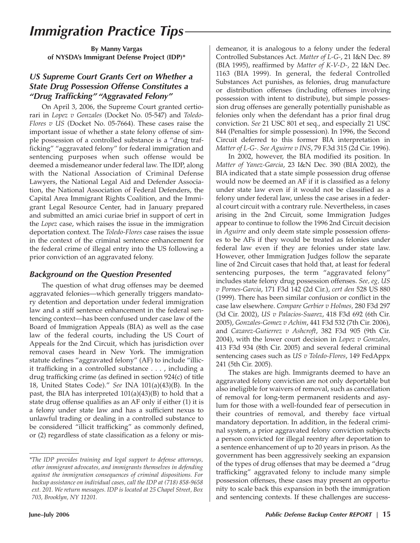# *Immigration Practice Tips*

**By Manny Vargas of NYSDA's Immigrant Defense Project (IDP)\***

### *US Supreme Court Grants Cert on Whether a State Drug Possession Offense Constitutes a "Drug Trafficking" "Aggravated Felony"*

On April 3, 2006, the Supreme Court granted certiorari in *Lopez v Gonzales* (Docket No. 05-547) and *Toledo-Flores v US* (Docket No. 05-7664). These cases raise the important issue of whether a state felony offense of simple possession of a controlled substance is a "drug trafficking" "aggravated felony" for federal immigration and sentencing purposes when such offense would be deemed a misdemeanor under federal law. The IDP, along with the National Association of Criminal Defense Lawyers, the National Legal Aid and Defender Association, the National Association of Federal Defenders, the Capital Area Immigrant Rights Coalition, and the Immigrant Legal Resource Center, had in January prepared and submitted an amici curiae brief in support of cert in the *Lopez* case, which raises the issue in the immigration deportation context. The *Toledo-Flores* case raises the issue in the context of the criminal sentence enhancement for the federal crime of illegal entry into the US following a prior conviction of an aggravated felony.

## *Background on the Question Presented*

The question of what drug offenses may be deemed aggravated felonies—which generally triggers mandatory detention and deportation under federal immigration law and a stiff sentence enhancement in the federal sentencing context—has been confused under case law of the Board of Immigration Appeals (BIA) as well as the case law of the federal courts, including the US Court of Appeals for the 2nd Circuit, which has jurisdiction over removal cases heard in New York. The immigration statute defines "aggravated felony" (AF) to include "illicit trafficking in a controlled substance . . . , including a drug trafficking crime (as defined in section 924(c) of title 18, United States Code)." *See* INA 101(a)(43)(B). In the past, the BIA has interpreted  $101(a)(43)(B)$  to hold that a state drug offense qualifies as an AF only if either (1) it is a felony under state law and has a sufficient nexus to unlawful trading or dealing in a controlled substance to be considered "illicit trafficking" as commonly defined, or (2) regardless of state classification as a felony or mis-

demeanor, it is analogous to a felony under the federal Controlled Substances Act. *Matter of L-G-*, 21 I&N Dec. 89 (BIA 1995), reaffirmed by *Matter of K-V-D-*, 22 I&N Dec. 1163 (BIA 1999). In general, the federal Controlled Substances Act punishes, as felonies, drug manufacture or distribution offenses (including offenses involving possession with intent to distribute), but simple possession drug offenses are generally potentially punishable as felonies only when the defendant has a prior final drug conviction. *See* 21 USC 801 et seq., and especially 21 USC 844 (Penalties for simple possession). In 1996, the Second Circuit deferred to this former BIA interpretation in *Matter of L-G-*. *See Aguirre v INS*, 79 F.3d 315 (2d Cir. 1996).

In 2002, however, the BIA modified its position. In *Matter of Yanez-Garcia*, 23 I&N Dec. 390 (BIA 2002), the BIA indicated that a state simple possession drug offense would now be deemed an AF if it is classified as a felony under state law even if it would not be classified as a felony under federal law, unless the case arises in a federal court circuit with a contrary rule. Nevertheless, in cases arising in the 2nd Circuit, some Immigration Judges appear to continue to follow the 1996 2nd Circuit decision in *Aguirre* and only deem state simple possession offenses to be AFs if they would be treated as felonies under federal law even if they are felonies under state law. However, other Immigration Judges follow the separate line of 2nd Circuit cases that hold that, at least for federal sentencing purposes, the term "aggravated felony" includes state felony drug possession offenses. *See, eg, US v Pornes-Garcia*, 171 F3d 142 (2d Cir.), *cert den* 528 US 880 (1999). There has been similar confusion or conflict in the case law elsewhere. *Compare Gerbier v Holmes,* 280 F3d 297 (3d Cir. 2002), *US v Palacios-Suarez*, 418 F3d 692 (6th Cir. 2005), *Gonzales-Gomez v Achim*, 441 F3d 532 (7th Cir. 2006), and *Cazarez-Gutierrez v Ashcroft*, 382 F3d 905 (9th Cir. 2004), with the lower court decision in *Lopez v Gonzales*, 413 F3d 934 (8th Cir. 2005) and several federal criminal sentencing cases such as *US v Toledo-Flores*, 149 FedAppx 241 (5th Cir. 2005).

The stakes are high. Immigrants deemed to have an aggravated felony conviction are not only deportable but also ineligible for waivers of removal, such as cancellation of removal for long-term permanent residents and asylum for those with a well-founded fear of persecution in their countries of removal, and thereby face virtual mandatory deportation. In addition, in the federal criminal system, a prior aggravated felony conviction subjects a person convicted for illegal reentry after deportation to a sentence enhancement of up to 20 years in prison. As the government has been aggressively seeking an expansion of the types of drug offenses that may be deemed a "drug trafficking" aggravated felony to include many simple possession offenses, these cases may present an opportunity to scale back this expansion in both the immigration and sentencing contexts. If these challenges are success-

*<sup>\*</sup>The IDP provides training and legal support to defense attorneys, other immigrant advocates, and immigrants themselves in defending against the immigration consequences of criminal dispositions. For backup assistance on individual cases, call the IDP at (718) 858-9658 ext. 201. We return messages. IDP is located at 25 Chapel Street, Box 703, Brooklyn, NY 11201.*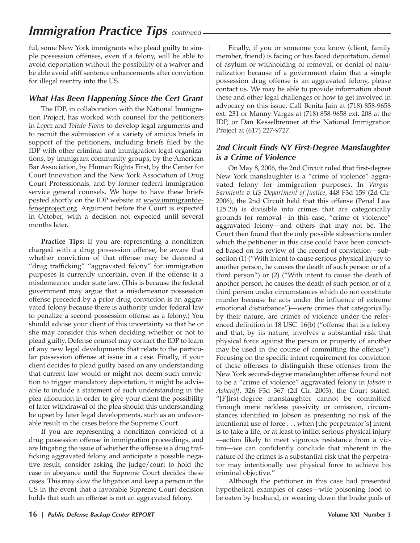# *Immigration Practice Tips continued*

ful, some New York immigrants who plead guilty to simple possession offenses, even if a felony, will be able to avoid deportation without the possibility of a waiver and be able avoid stiff sentence enhancements after conviction for illegal reentry into the US.

### *What Has Been Happening Since the Cert Grant*

The IDP, in collaboration with the National Immigration Project, has worked with counsel for the petitioners in *Lopez* and *Toledo-Flores* to develop legal arguments and to recruit the submission of a variety of amicus briefs in support of the petitioners, including briefs filed by the IDP with other criminal and immigration legal organizations, by immigrant community groups, by the American Bar Association, by Human Rights First, by the Center for Court Innovation and the New York Association of Drug Court Professionals, and by former federal immigration service general counsels. We hope to have these briefs posted shortly on the IDP website at www.immigrantdefenseproject.org. Argument before the Court is expected in October, with a decision not expected until several months later.

Practice Tips: If you are representing a noncitizen charged with a drug possession offense, be aware that whether conviction of that offense may be deemed a "drug trafficking" "aggravated felony" for immigration purposes is currently uncertain, even if the offense is a misdemeanor under state law. (This is because the federal government may argue that a misdemeanor possession offense preceded by a prior drug conviction is an aggravated felony because there is authority under federal law to penalize a second possession offense as a felony.) You should advise your client of this uncertainty so that he or she may consider this when deciding whether or not to plead guilty. Defense counsel may contact the IDP to learn of any new legal developments that relate to the particular possession offense at issue in a case. Finally, if your client decides to plead guilty based on any understanding that current law would or might not deem such conviction to trigger mandatory deportation, it might be advisable to include a statement of such understanding in the plea allocution in order to give your client the possibility of later withdrawal of the plea should this understanding be upset by later legal developments, such as an unfavorable result in the cases before the Supreme Court.

If you are representing a noncitizen convicted of a drug possession offense in immigration proceedings, and are litigating the issue of whether the offense is a drug trafficking aggravated felony and anticipate a possible negative result, consider asking the judge/court to hold the case in abeyance until the Supreme Court decides these cases. This may slow the litigation and keep a person in the US in the event that a favorable Supreme Court decision holds that such an offense is not an aggravated felony.

Finally, if you or someone you know (client, family member, friend) is facing or has faced deportation, denial of asylum or withholding of removal, or denial of naturalization because of a government claim that a simple possession drug offense is an aggravated felony, please contact us. We may be able to provide information about these and other legal challenges or how to get involved in advocacy on this issue. Call Benita Jain at (718) 858-9658 ext. 231 or Manny Vargas at (718) 858-9658 ext. 208 at the IDP, or Dan Kesselbrenner at the National Immigration Project at (617) 227-9727.

### *2nd Circuit Finds NY First-Degree Manslaughter is a Crime of Violence*

On May 8, 2006, the 2nd Circuit ruled that first-degree New York manslaughter is a "crime of violence" aggravated felony for immigration purposes. In *Vargas-Sarmiento v US Department of Justice*, 448 F3d 159 (2d Cir. 2006), the 2nd Circuit held that this offense (Penal Law 125.20) is divisible into crimes that are categorically grounds for removal—in this case, "crime of violence" aggravated felony—and others that may not be. The Court then found that the only possible subsections under which the petitioner in this case could have been convicted based on its review of the record of conviction—subsection (1) ("With intent to cause serious physical injury to another person, he causes the death of such person or of a third person") or (2) ("With intent to cause the death of another person, he causes the death of such person or of a third person under circumstances which do not constitute murder because he acts under the influence of extreme emotional disturbance")—were crimes that categorically, by their nature, are crimes of violence under the referenced definition in 18 USC 16(b) ("offense that is a felony and that, by its nature, involves a substantial risk that physical force against the person or property of another may be used in the course of committing the offense"). Focusing on the specific intent requirement for conviction of these offenses to distinguish these offenses from the New York second-degree manslaughter offense found not to be a "crime of violence" aggravated felony in *Jobson v Ashcroft*, 326 F3d 367 (2d Cir. 2003), the Court stated: "[F]irst-degree manslaughter cannot be committed through mere reckless passivity or omission, circumstances identified in Jobson as presenting no risk of the intentional use of force . . . when [the perpetrator's] intent is to take a life, or at least to inflict serious physical injury —action likely to meet vigorous resistance from a victim—we can confidently conclude that inherent in the nature of the crimes is a substantial risk that the perpetrator may intentionally use physical force to achieve his criminal objective."

Although the petitioner in this case had presented hypothetical examples of cases—wife poisoning food to be eaten by husband, or wearing down the brake pads of